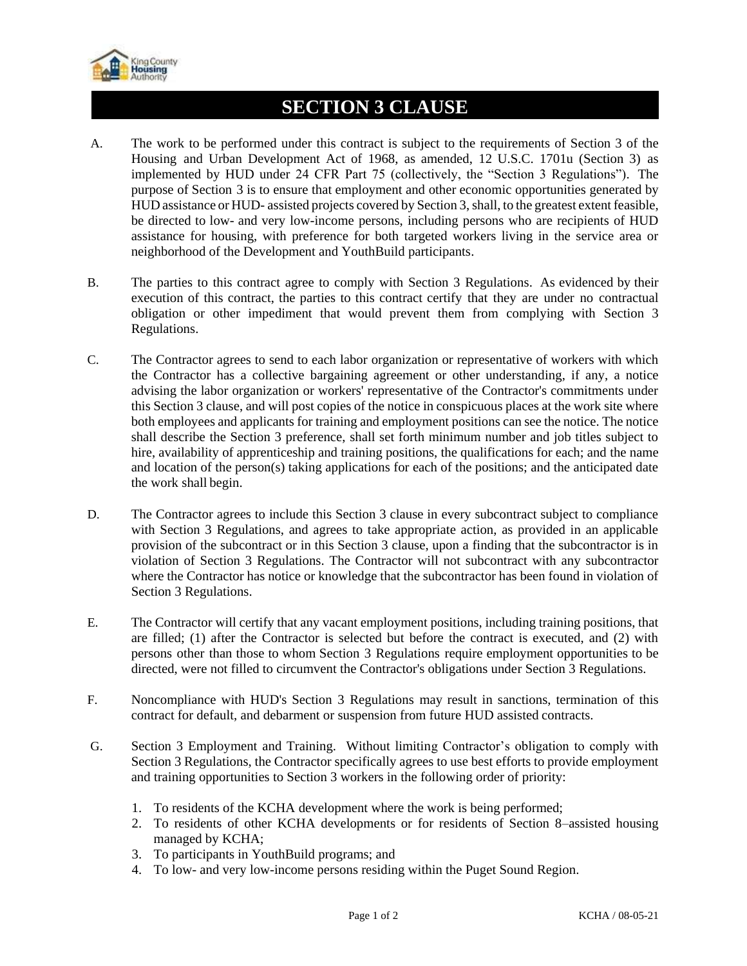

## **SECTION 3 CLAUSE**

- A. The work to be performed under this contract is subject to the requirements of Section 3 of the Housing and Urban Development Act of 1968, as amended, 12 U.S.C. 1701u (Section 3) as implemented by HUD under 24 CFR Part 75 (collectively, the "Section 3 Regulations"). The purpose of Section 3 is to ensure that employment and other economic opportunities generated by HUD assistance or HUD- assisted projects covered by Section 3, shall, to the greatest extent feasible, be directed to low- and very low-income persons, including persons who are recipients of HUD assistance for housing, with preference for both targeted workers living in the service area or neighborhood of the Development and YouthBuild participants.
- B. The parties to this contract agree to comply with Section 3 Regulations. As evidenced by their execution of this contract, the parties to this contract certify that they are under no contractual obligation or other impediment that would prevent them from complying with Section 3 Regulations.
- C. The Contractor agrees to send to each labor organization or representative of workers with which the Contractor has a collective bargaining agreement or other understanding, if any, a notice advising the labor organization or workers' representative of the Contractor's commitments under this Section 3 clause, and will post copies of the notice in conspicuous places at the work site where both employees and applicants for training and employment positions can see the notice. The notice shall describe the Section 3 preference, shall set forth minimum number and job titles subject to hire, availability of apprenticeship and training positions, the qualifications for each; and the name and location of the person(s) taking applications for each of the positions; and the anticipated date the work shall begin.
- D. The Contractor agrees to include this Section 3 clause in every subcontract subject to compliance with Section 3 Regulations, and agrees to take appropriate action, as provided in an applicable provision of the subcontract or in this Section 3 clause, upon a finding that the subcontractor is in violation of Section 3 Regulations. The Contractor will not subcontract with any subcontractor where the Contractor has notice or knowledge that the subcontractor has been found in violation of Section 3 Regulations.
- E. The Contractor will certify that any vacant employment positions, including training positions, that are filled; (1) after the Contractor is selected but before the contract is executed, and (2) with persons other than those to whom Section 3 Regulations require employment opportunities to be directed, were not filled to circumvent the Contractor's obligations under Section 3 Regulations.
- F. Noncompliance with HUD's Section 3 Regulations may result in sanctions, termination of this contract for default, and debarment or suspension from future HUD assisted contracts.
- G. Section 3 Employment and Training. Without limiting Contractor's obligation to comply with Section 3 Regulations, the Contractor specifically agrees to use best efforts to provide employment and training opportunities to Section 3 workers in the following order of priority:
	- 1. To residents of the KCHA development where the work is being performed;
	- 2. To residents of other KCHA developments or for residents of Section 8–assisted housing managed by KCHA;
	- 3. To participants in YouthBuild programs; and
	- 4. To low- and very low-income persons residing within the Puget Sound Region.